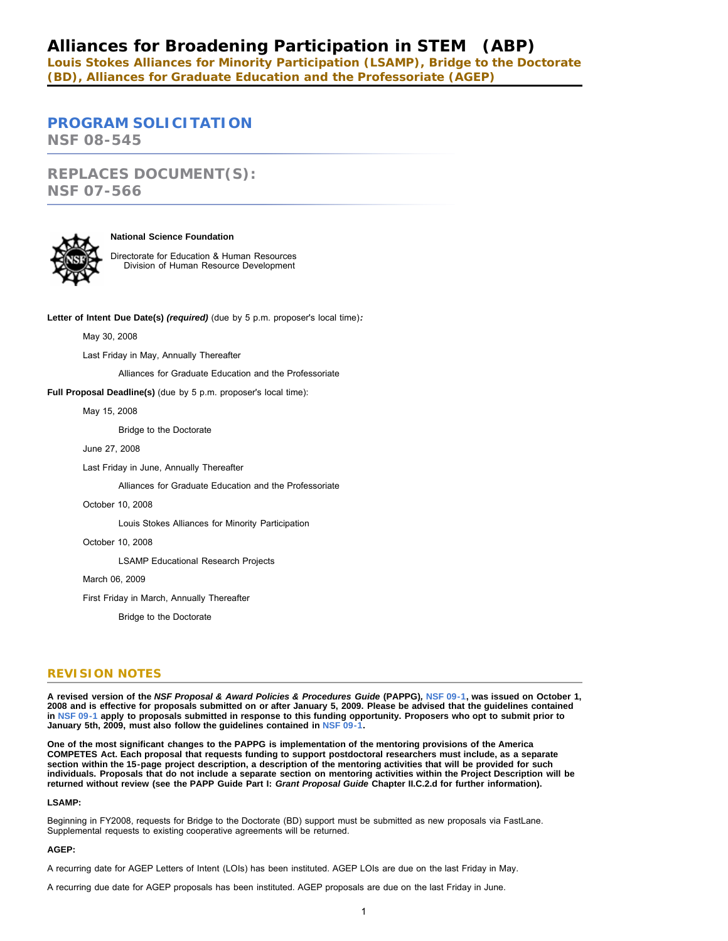# **Alliances for Broadening Participation in STEM (ABP)**

**Louis Stokes Alliances for Minority Participation (LSAMP), Bridge to the Doctorate (BD), Alliances for Graduate Education and the Professoriate (AGEP)**

# **[PROGRAM SOLICITATION](#page-3-0)**

**NSF 08-545**

*REPLACES DOCUMENT(S):* **NSF 07-566**



#### **National Science Foundation**

Directorate for Education & Human Resources Division of Human Resource Development

**Letter of Intent Due Date(s)** *(required)* (due by 5 p.m. proposer's local time)*:*

May 30, 2008

Last Friday in May, Annually Thereafter

Alliances for Graduate Education and the Professoriate

**Full Proposal Deadline(s)** (due by 5 p.m. proposer's local time):

May 15, 2008

Bridge to the Doctorate

June 27, 2008

Last Friday in June, Annually Thereafter

Alliances for Graduate Education and the Professoriate

October 10, 2008

Louis Stokes Alliances for Minority Participation

October 10, 2008

LSAMP Educational Research Projects

March 06, 2009

First Friday in March, Annually Thereafter

Bridge to the Doctorate

### **REVISION NOTES**

**A revised version of the** *NSF Proposal & Award Policies & Procedures Guide* **(PAPPG)***,* **[NSF 09-1,](http://www.nsf.gov/publications/pub_summ.jsp?ods_key=nsf091) was issued on October 1, 2008 and is effective for proposals submitted on or after January 5, 2009. Please be advised that the guidelines contained in [NSF 09-1](http://www.nsf.gov/publications/pub_summ.jsp?ods_key=nsf091) apply to proposals submitted in response to this funding opportunity. Proposers who opt to submit prior to January 5th, 2009, must also follow the guidelines contained in [NSF 09-1.](http://www.nsf.gov/publications/pub_summ.jsp?ods_key=nsf091)**

**One of the most significant changes to the PAPPG is implementation of the mentoring provisions of the America COMPETES Act. Each proposal that requests funding to support postdoctoral researchers must include, as a separate section within the 15-page project description, a description of the mentoring activities that will be provided for such individuals. Proposals that do not include a separate section on mentoring activities within the Project Description will be returned without review (see the PAPP Guide Part I:** *Grant Proposal Guide* **Chapter II.C.2.d for further information).**

**LSAMP:**

Beginning in FY2008, requests for Bridge to the Doctorate (BD) support must be submitted as new proposals via FastLane. Supplemental requests to existing cooperative agreements will be returned.

#### **AGEP:**

A recurring date for AGEP Letters of Intent (LOIs) has been instituted. AGEP LOIs are due on the last Friday in May.

A recurring due date for AGEP proposals has been instituted. AGEP proposals are due on the last Friday in June.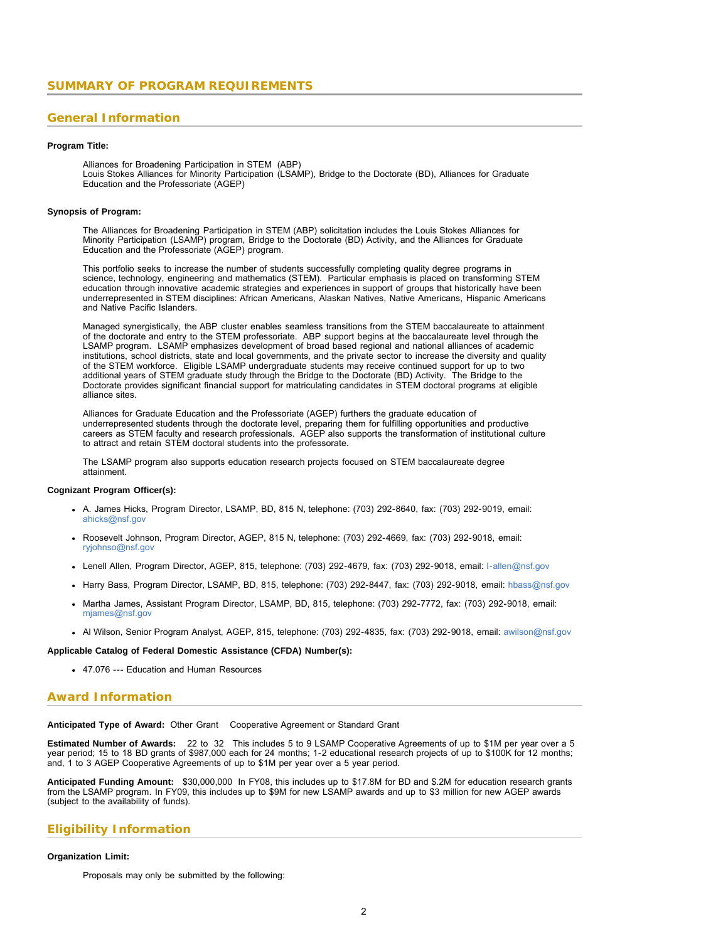### <span id="page-1-0"></span>**General Information**

### **Program Title:**

Alliances for Broadening Participation in STEM (ABP) Louis Stokes Alliances for Minority Participation (LSAMP), Bridge to the Doctorate (BD), Alliances for Graduate Education and the Professoriate (AGEP)

#### **Synopsis of Program:**

The Alliances for Broadening Participation in STEM (ABP) solicitation includes the Louis Stokes Alliances for Minority Participation (LSAMP) program, Bridge to the Doctorate (BD) Activity, and the Alliances for Graduate Education and the Professoriate (AGEP) program.

This portfolio seeks to increase the number of students successfully completing quality degree programs in science, technology, engineering and mathematics (STEM). Particular emphasis is placed on transforming STEM education through innovative academic strategies and experiences in support of groups that historically have been underrepresented in STEM disciplines: African Americans, Alaskan Natives, Native Americans, Hispanic Americans and Native Pacific Islanders.

Managed synergistically, the ABP cluster enables seamless transitions from the STEM baccalaureate to attainment of the doctorate and entry to the STEM professoriate. ABP support begins at the baccalaureate level through the LSAMP program. LSAMP emphasizes development of broad based regional and national alliances of academic institutions, school districts, state and local governments, and the private sector to increase the diversity and quality of the STEM workforce. Eligible LSAMP undergraduate students may receive continued support for up to two additional years of STEM graduate study through the Bridge to the Doctorate (BD) Activity. The Bridge to the Doctorate provides significant financial support for matriculating candidates in STEM doctoral programs at eligible alliance sites.

Alliances for Graduate Education and the Professoriate (AGEP) furthers the graduate education of underrepresented students through the doctorate level, preparing them for fulfilling opportunities and productive careers as STEM faculty and research professionals. AGEP also supports the transformation of institutional culture to attract and retain STEM doctoral students into the professorate.

The LSAMP program also supports education research projects focused on STEM baccalaureate degree attainment.

#### **Cognizant Program Officer(s):**

- A. James Hicks, Program Director, LSAMP, BD, 815 N, telephone: (703) 292-8640, fax: (703) 292-9019, email: [ahicks@nsf.gov](mailto:ahicks@nsf.gov)
- Roosevelt Johnson, Program Director, AGEP, 815 N, telephone: (703) 292-4669, fax: (703) 292-9018, email: [ryjohnso@nsf.gov](mailto:ryjohnso@nsf.gov)
- Lenell Allen, Program Director, AGEP, 815, telephone: (703) 292-4679, fax: (703) 292-9018, email: [l-allen@nsf.gov](mailto:l-allen@nsf.gov)
- Harry Bass, Program Director, LSAMP, BD, 815, telephone: (703) 292-8447, fax: (703) 292-9018, email: [hbass@nsf.gov](mailto:hbass@nsf.gov)
- Martha James, Assistant Program Director, LSAMP, BD, 815, telephone: (703) 292-7772, fax: (703) 292-9018, email: [mjames@nsf.gov](mailto:mjames@nsf.gov)
- Al Wilson, Senior Program Analyst, AGEP, 815, telephone: (703) 292-4835, fax: (703) 292-9018, email: [awilson@nsf.gov](mailto:awilson@nsf.gov)

#### **Applicable Catalog of Federal Domestic Assistance (CFDA) Number(s):**

47.076 --- Education and Human Resources

### **Award Information**

#### **Anticipated Type of Award:** Other Grant Cooperative Agreement or Standard Grant

**Estimated Number of Awards:** 22 to 32 This includes 5 to 9 LSAMP Cooperative Agreements of up to \$1M per year over a 5 year period; 15 to 18 BD grants of \$987,000 each for 24 months; 1-2 educational research projects of up to \$100K for 12 months; and, 1 to 3 AGEP Cooperative Agreements of up to \$1M per year over a 5 year period.

**Anticipated Funding Amount:** \$30,000,000 In FY08, this includes up to \$17.8M for BD and \$.2M for education research grants from the LSAMP program. In FY09, this includes up to \$9M for new LSAMP awards and up to \$3 million for new AGEP awards (subject to the availability of funds).

### **Eligibility Information**

#### **Organization Limit:**

Proposals may only be submitted by the following: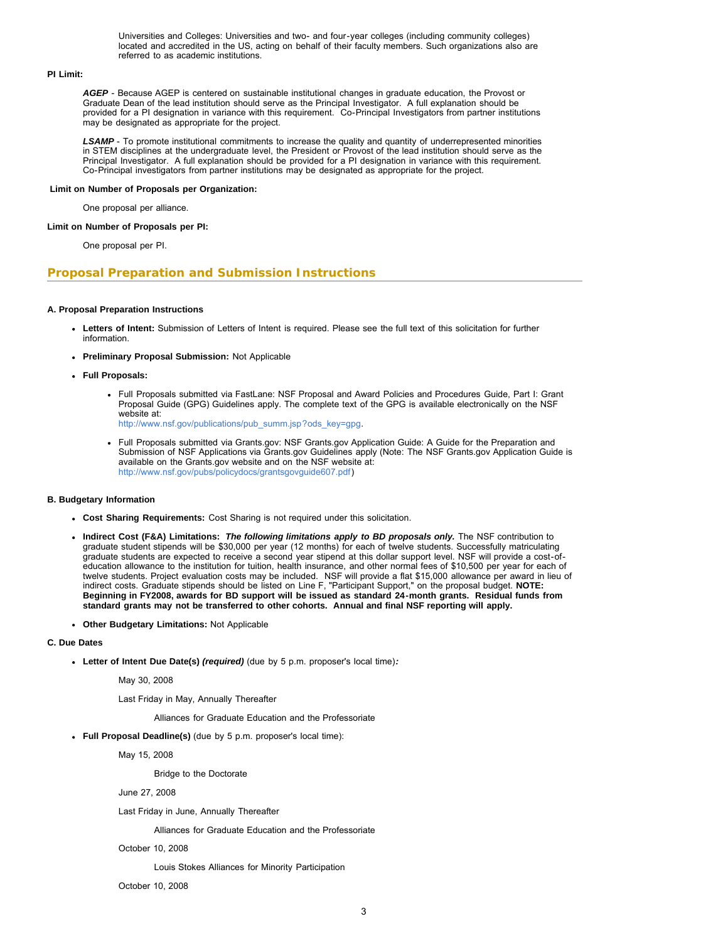Universities and Colleges: Universities and two- and four-year colleges (including community colleges) located and accredited in the US, acting on behalf of their faculty members. Such organizations also are referred to as academic institutions.

#### **PI Limit:**

*AGEP* - Because AGEP is centered on sustainable institutional changes in graduate education, the Provost or Graduate Dean of the lead institution should serve as the Principal Investigator. A full explanation should be provided for a PI designation in variance with this requirement. Co-Principal Investigators from partner institutions may be designated as appropriate for the project.

*LSAMP* - To promote institutional commitments to increase the quality and quantity of underrepresented minorities in STEM disciplines at the undergraduate level, the President or Provost of the lead institution should serve as the Principal Investigator. A full explanation should be provided for a PI designation in variance with this requirement. Co-Principal investigators from partner institutions may be designated as appropriate for the project.

### **Limit on Number of Proposals per Organization:**

One proposal per alliance.

#### **Limit on Number of Proposals per PI:**

One proposal per PI.

### **Proposal Preparation and Submission Instructions**

#### **A. Proposal Preparation Instructions**

- **Letters of Intent:** Submission of Letters of Intent is required. Please see the full text of this solicitation for further information.
- **Preliminary Proposal Submission:** Not Applicable
- **Full Proposals:**
	- Full Proposals submitted via FastLane: NSF Proposal and Award Policies and Procedures Guide, Part I: Grant Proposal Guide (GPG) Guidelines apply. The complete text of the GPG is available electronically on the NSF website at: [http://www.nsf.gov/publications/pub\\_summ.jsp?ods\\_key=gpg.](http://www.nsf.gov/publications/pub_summ.jsp?ods_key=gpg)
	- Full Proposals submitted via Grants.gov: NSF Grants.gov Application Guide: A Guide for the Preparation and Submission of NSF Applications via Grants.gov Guidelines apply (Note: The NSF Grants.gov Application Guide is available on the Grants.gov website and on the NSF website at: [http://www.nsf.gov/pubs/policydocs/grantsgovguide607.pdf\)](http://www.nsf.gov/pubs/policydocs/grantsgovguide607.pdf)

#### **B. Budgetary Information**

- **Cost Sharing Requirements:** Cost Sharing is not required under this solicitation.
- **Indirect Cost (F&A) Limitations:** *The following limitations apply to BD proposals only.* The NSF contribution to graduate student stipends will be \$30,000 per year (12 months) for each of twelve students. Successfully matriculating graduate students are expected to receive a second year stipend at this dollar support level. NSF will provide a cost-ofeducation allowance to the institution for tuition, health insurance, and other normal fees of \$10,500 per year for each of twelve students. Project evaluation costs may be included. NSF will provide a flat \$15,000 allowance per award in lieu of indirect costs. Graduate stipends should be listed on Line F, "Participant Support," on the proposal budget. **NOTE: Beginning in FY2008, awards for BD support will be issued as standard 24-month grants. Residual funds from standard grants may not be transferred to other cohorts. Annual and final NSF reporting will apply.**
- **Other Budgetary Limitations:** Not Applicable

#### **C. Due Dates**

**Letter of Intent Due Date(s)** *(required)* (due by 5 p.m. proposer's local time)*:*

May 30, 2008

Last Friday in May, Annually Thereafter

Alliances for Graduate Education and the Professoriate

**Full Proposal Deadline(s)** (due by 5 p.m. proposer's local time):

May 15, 2008

Bridge to the Doctorate

June 27, 2008

Last Friday in June, Annually Thereafter

Alliances for Graduate Education and the Professoriate

October 10, 2008

Louis Stokes Alliances for Minority Participation

October 10, 2008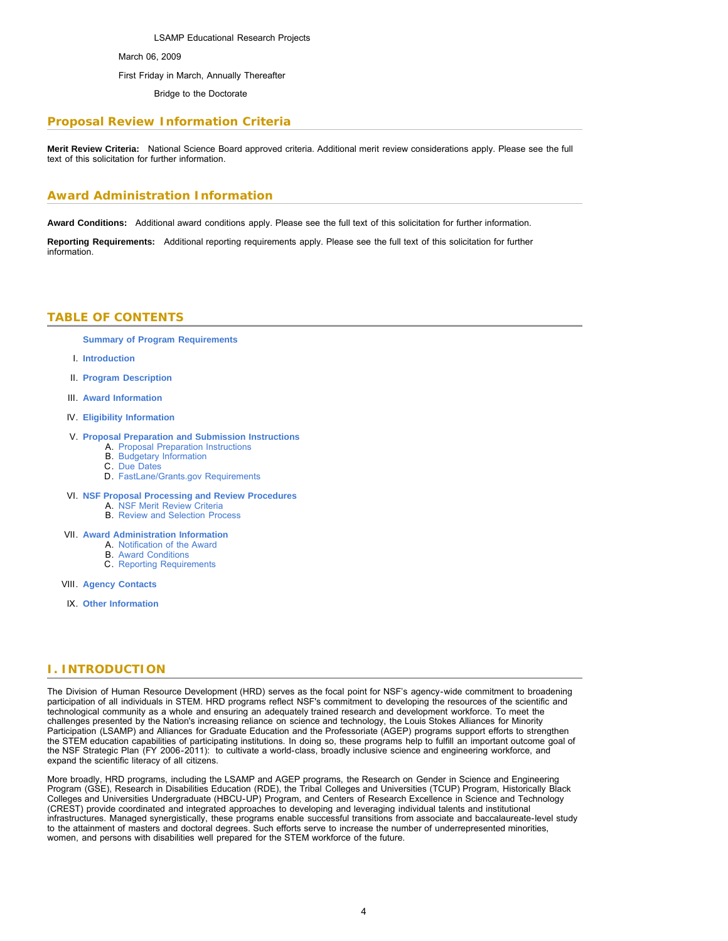LSAMP Educational Research Projects March 06, 2009 First Friday in March, Annually Thereafter

Bridge to the Doctorate

# **Proposal Review Information Criteria**

**Merit Review Criteria:** National Science Board approved criteria. Additional merit review considerations apply. Please see the full text of this solicitation for further information.

# **Award Administration Information**

**Award Conditions:** Additional award conditions apply. Please see the full text of this solicitation for further information.

<span id="page-3-0"></span>**Reporting Requirements:** Additional reporting requirements apply. Please see the full text of this solicitation for further information.

## **TABLE OF CONTENTS**

**[Summary of Program Requirements](#page-1-0)**

- I. **[Introduction](#page-3-1)**
- II. **[Program Description](#page-3-2)**
- III. **[Award Information](#page-7-0)**
- IV. **[Eligibility Information](#page-8-0)**

### V. **[Proposal Preparation and Submission Instructions](#page-8-1)**

- A. [Proposal Preparation Instructions](#page-8-1)
- B. [Budgetary Information](#page-9-0)
- C. [Due Dates](#page-9-1)
- D. [FastLane/Grants.gov Requirements](#page-10-0)
- VI. **[NSF Proposal Processing and Review Procedures](#page-10-1)**
	- A. [NSF Merit Review Criteria](#page-10-2)
	- B. [Review and Selection Process](#page-11-0)
- VII. **[Award Administration Information](#page-11-1)**
	- A. [Notification of the Award](#page-11-2)
		- B. [Award Conditions](#page-11-3) C. [Reporting Requirements](#page-12-0)
- VIII. **[Agency Contacts](#page-12-1)**
- IX. **[Other Information](#page-13-0)**

# <span id="page-3-1"></span>**I. INTRODUCTION**

The Division of Human Resource Development (HRD) serves as the focal point for NSF's agency-wide commitment to broadening participation of all individuals in STEM. HRD programs reflect NSF's commitment to developing the resources of the scientific and technological community as a whole and ensuring an adequately trained research and development workforce. To meet the challenges presented by the Nation's increasing reliance on science and technology, the Louis Stokes Alliances for Minority Participation (LSAMP) and Alliances for Graduate Education and the Professoriate (AGEP) programs support efforts to strengthen the STEM education capabilities of participating institutions. In doing so, these programs help to fulfill an important outcome goal of the NSF Strategic Plan (FY 2006-2011): to cultivate a world-class, broadly inclusive science and engineering workforce, and expand the scientific literacy of all citizens.

<span id="page-3-2"></span>More broadly, HRD programs, including the LSAMP and AGEP programs, the Research on Gender in Science and Engineering Program (GSE), Research in Disabilities Education (RDE), the Tribal Colleges and Universities (TCUP) Program, Historically Black Colleges and Universities Undergraduate (HBCU-UP) Program, and Centers of Research Excellence in Science and Technology (CREST) provide coordinated and integrated approaches to developing and leveraging individual talents and institutional infrastructures. Managed synergistically, these programs enable successful transitions from associate and baccalaureate-level study to the attainment of masters and doctoral degrees. Such efforts serve to increase the number of underrepresented minorities, women, and persons with disabilities well prepared for the STEM workforce of the future.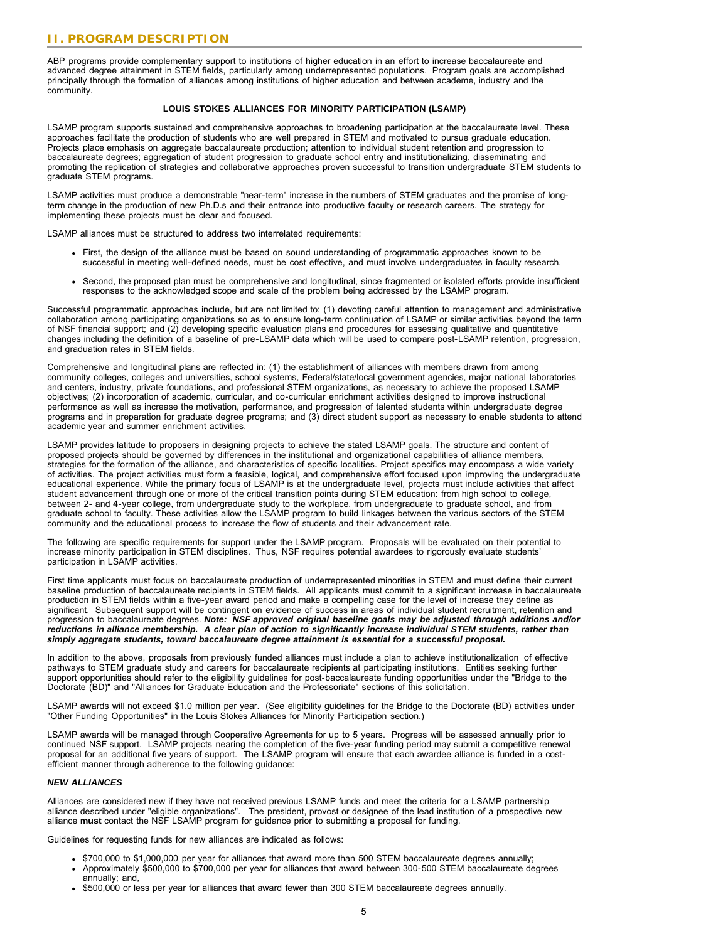ABP programs provide complementary support to institutions of higher education in an effort to increase baccalaureate and advanced degree attainment in STEM fields, particularly among underrepresented populations. Program goals are accomplished principally through the formation of alliances among institutions of higher education and between academe, industry and the community.

#### **LOUIS STOKES ALLIANCES FOR MINORITY PARTICIPATION (LSAMP)**

LSAMP program supports sustained and comprehensive approaches to broadening participation at the baccalaureate level. These approaches facilitate the production of students who are well prepared in STEM and motivated to pursue graduate education. Projects place emphasis on aggregate baccalaureate production; attention to individual student retention and progression to baccalaureate degrees; aggregation of student progression to graduate school entry and institutionalizing, disseminating and promoting the replication of strategies and collaborative approaches proven successful to transition undergraduate STEM students to graduate STEM programs.

LSAMP activities must produce a demonstrable "near-term" increase in the numbers of STEM graduates and the promise of longterm change in the production of new Ph.D.s and their entrance into productive faculty or research careers. The strategy for implementing these projects must be clear and focused.

LSAMP alliances must be structured to address two interrelated requirements:

- First, the design of the alliance must be based on sound understanding of programmatic approaches known to be successful in meeting well-defined needs, must be cost effective, and must involve undergraduates in faculty research.
- Second, the proposed plan must be comprehensive and longitudinal, since fragmented or isolated efforts provide insufficient responses to the acknowledged scope and scale of the problem being addressed by the LSAMP program.

Successful programmatic approaches include, but are not limited to: (1) devoting careful attention to management and administrative collaboration among participating organizations so as to ensure long-term continuation of LSAMP or similar activities beyond the term of NSF financial support; and (2) developing specific evaluation plans and procedures for assessing qualitative and quantitative changes including the definition of a baseline of pre-LSAMP data which will be used to compare post-LSAMP retention, progression, and graduation rates in STEM fields.

Comprehensive and longitudinal plans are reflected in: (1) the establishment of alliances with members drawn from among community colleges, colleges and universities, school systems, Federal/state/local government agencies, major national laboratories and centers, industry, private foundations, and professional STEM organizations, as necessary to achieve the proposed LSAMP objectives; (2) incorporation of academic, curricular, and co-curricular enrichment activities designed to improve instructional performance as well as increase the motivation, performance, and progression of talented students within undergraduate degree programs and in preparation for graduate degree programs; and (3) direct student support as necessary to enable students to attend academic year and summer enrichment activities.

LSAMP provides latitude to proposers in designing projects to achieve the stated LSAMP goals. The structure and content of proposed projects should be governed by differences in the institutional and organizational capabilities of alliance members, strategies for the formation of the alliance, and characteristics of specific localities. Project specifics may encompass a wide variety of activities. The project activities must form a feasible, logical, and comprehensive effort focused upon improving the undergraduate educational experience. While the primary focus of LSAMP is at the undergraduate level, projects must include activities that affect student advancement through one or more of the critical transition points during STEM education: from high school to college, between 2- and 4-year college, from undergraduate study to the workplace, from undergraduate to graduate school, and from graduate school to faculty. These activities allow the LSAMP program to build linkages between the various sectors of the STEM community and the educational process to increase the flow of students and their advancement rate.

The following are specific requirements for support under the LSAMP program. Proposals will be evaluated on their potential to increase minority participation in STEM disciplines. Thus, NSF requires potential awardees to rigorously evaluate students' participation in LSAMP activities.

First time applicants must focus on baccalaureate production of underrepresented minorities in STEM and must define their current baseline production of baccalaureate recipients in STEM fields. All applicants must commit to a significant increase in baccalaureate production in STEM fields within a five-year award period and make a compelling case for the level of increase they define as significant. Subsequent support will be contingent on evidence of success in areas of individual student recruitment, retention and progression to baccalaureate degrees. *Note: NSF approved original baseline goals may be adjusted through additions and/or reductions in alliance membership. A clear plan of action to significantly increase individual STEM students, rather than simply aggregate students, toward baccalaureate degree attainment is essential for a successful proposal.*

In addition to the above, proposals from previously funded alliances must include a plan to achieve institutionalization of effective pathways to STEM graduate study and careers for baccalaureate recipients at participating institutions. Entities seeking further support opportunities should refer to the eligibility guidelines for post-baccalaureate funding opportunities under the "Bridge to the Doctorate (BD)" and "Alliances for Graduate Education and the Professoriate" sections of this solicitation.

LSAMP awards will not exceed \$1.0 million per year. (See eligibility guidelines for the Bridge to the Doctorate (BD) activities under "Other Funding Opportunities" in the Louis Stokes Alliances for Minority Participation section.)

LSAMP awards will be managed through Cooperative Agreements for up to 5 years. Progress will be assessed annually prior to continued NSF support. LSAMP projects nearing the completion of the five-year funding period may submit a competitive renewal proposal for an additional five years of support. The LSAMP program will ensure that each awardee alliance is funded in a costefficient manner through adherence to the following guidance:

### *NEW ALLIANCES*

Alliances are considered new if they have not received previous LSAMP funds and meet the criteria for a LSAMP partnership alliance described under "eligible organizations". The president, provost or designee of the lead institution of a prospective new alliance **must** contact the NSF LSAMP program for guidance prior to submitting a proposal for funding.

Guidelines for requesting funds for new alliances are indicated as follows:

- \$700,000 to \$1,000,000 per year for alliances that award more than 500 STEM baccalaureate degrees annually;
- Approximately \$500,000 to \$700,000 per year for alliances that award between 300-500 STEM baccalaureate degrees annually; and,
- \$500,000 or less per year for alliances that award fewer than 300 STEM baccalaureate degrees annually.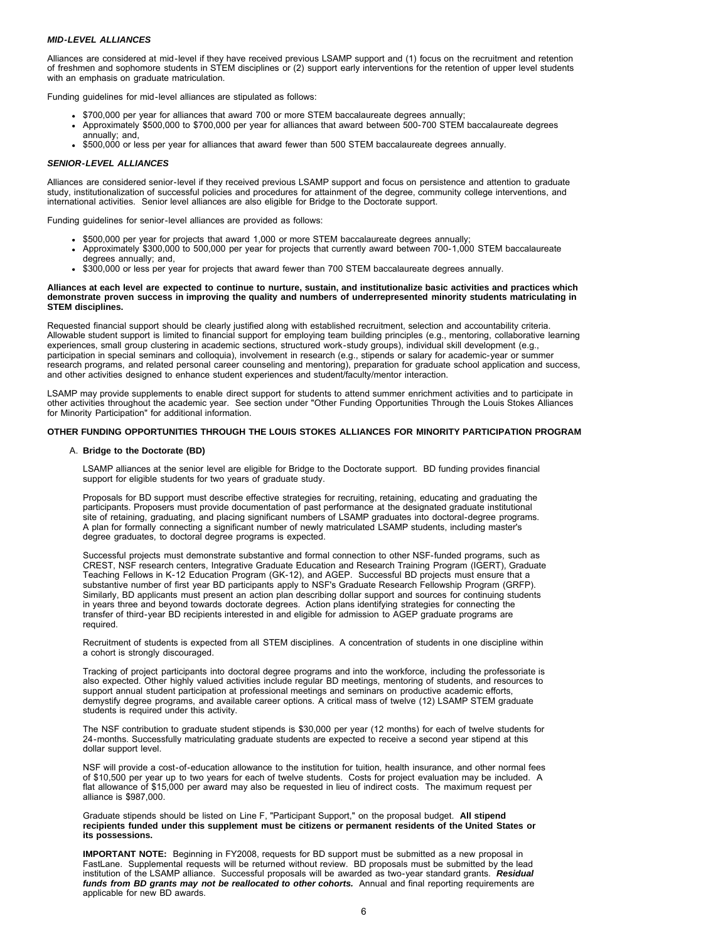#### *MID-LEVEL ALLIANCES*

Alliances are considered at mid-level if they have received previous LSAMP support and (1) focus on the recruitment and retention of freshmen and sophomore students in STEM disciplines or (2) support early interventions for the retention of upper level students with an emphasis on graduate matriculation.

Funding guidelines for mid-level alliances are stipulated as follows:

- . \$700,000 per year for alliances that award 700 or more STEM baccalaureate degrees annually;
- Approximately \$500,000 to \$700,000 per year for alliances that award between 500-700 STEM baccalaureate degrees annually; and,
- \$500,000 or less per year for alliances that award fewer than 500 STEM baccalaureate degrees annually.

#### *SENIOR-LEVEL ALLIANCES*

Alliances are considered senior-level if they received previous LSAMP support and focus on persistence and attention to graduate study, institutionalization of successful policies and procedures for attainment of the degree, community college interventions, and international activities. Senior level alliances are also eligible for Bridge to the Doctorate support.

Funding guidelines for senior-level alliances are provided as follows:

- . \$500,000 per year for projects that award 1,000 or more STEM baccalaureate degrees annually;
- Approximately \$300,000 to 500,000 per year for projects that currently award between 700-1,000 STEM baccalaureate degrees annually; and,
- \$300,000 or less per year for projects that award fewer than 700 STEM baccalaureate degrees annually.

#### **Alliances at each level are expected to continue to nurture, sustain, and institutionalize basic activities and practices which demonstrate proven success in improving the quality and numbers of underrepresented minority students matriculating in STEM disciplines.**

Requested financial support should be clearly justified along with established recruitment, selection and accountability criteria. Allowable student support is limited to financial support for employing team building principles (e.g., mentoring, collaborative learning experiences, small group clustering in academic sections, structured work-study groups), individual skill development (e.g., participation in special seminars and colloquia), involvement in research (e.g., stipends or salary for academic-year or summer research programs, and related personal career counseling and mentoring), preparation for graduate school application and success, and other activities designed to enhance student experiences and student/faculty/mentor interaction.

LSAMP may provide supplements to enable direct support for students to attend summer enrichment activities and to participate in other activities throughout the academic year. See section under "Other Funding Opportunities Through the Louis Stokes Alliances for Minority Participation" for additional information.

#### **OTHER FUNDING OPPORTUNITIES THROUGH THE LOUIS STOKES ALLIANCES FOR MINORITY PARTICIPATION PROGRAM**

#### A. **Bridge to the Doctorate (BD)**

LSAMP alliances at the senior level are eligible for Bridge to the Doctorate support. BD funding provides financial support for eligible students for two years of graduate study.

Proposals for BD support must describe effective strategies for recruiting, retaining, educating and graduating the participants. Proposers must provide documentation of past performance at the designated graduate institutional site of retaining, graduating, and placing significant numbers of LSAMP graduates into doctoral-degree programs. A plan for formally connecting a significant number of newly matriculated LSAMP students, including master's degree graduates, to doctoral degree programs is expected.

Successful projects must demonstrate substantive and formal connection to other NSF-funded programs, such as CREST, NSF research centers, Integrative Graduate Education and Research Training Program (IGERT), Graduate Teaching Fellows in K-12 Education Program (GK-12), and AGEP. Successful BD projects must ensure that a substantive number of first year BD participants apply to NSF's Graduate Research Fellowship Program (GRFP). Similarly, BD applicants must present an action plan describing dollar support and sources for continuing students in years three and beyond towards doctorate degrees. Action plans identifying strategies for connecting the transfer of third-year BD recipients interested in and eligible for admission to AGEP graduate programs are required.

Recruitment of students is expected from all STEM disciplines. A concentration of students in one discipline within a cohort is strongly discouraged.

Tracking of project participants into doctoral degree programs and into the workforce, including the professoriate is also expected. Other highly valued activities include regular BD meetings, mentoring of students, and resources to support annual student participation at professional meetings and seminars on productive academic efforts, demystify degree programs, and available career options. A critical mass of twelve (12) LSAMP STEM graduate students is required under this activity.

The NSF contribution to graduate student stipends is \$30,000 per year (12 months) for each of twelve students for 24-months. Successfully matriculating graduate students are expected to receive a second year stipend at this dollar support level.

NSF will provide a cost-of-education allowance to the institution for tuition, health insurance, and other normal fees of \$10,500 per year up to two years for each of twelve students. Costs for project evaluation may be included. A flat allowance of \$15,000 per award may also be requested in lieu of indirect costs. The maximum request per alliance is \$987,000.

Graduate stipends should be listed on Line F, "Participant Support," on the proposal budget. **All stipend recipients funded under this supplement must be citizens or permanent residents of the United States or its possessions.**

**IMPORTANT NOTE:** Beginning in FY2008, requests for BD support must be submitted as a new proposal in FastLane. Supplemental requests will be returned without review. BD proposals must be submitted by the lead institution of the LSAMP alliance. Successful proposals will be awarded as two-year standard grants. *Residual funds from BD grants may not be reallocated to other cohorts.* Annual and final reporting requirements are applicable for new BD awards.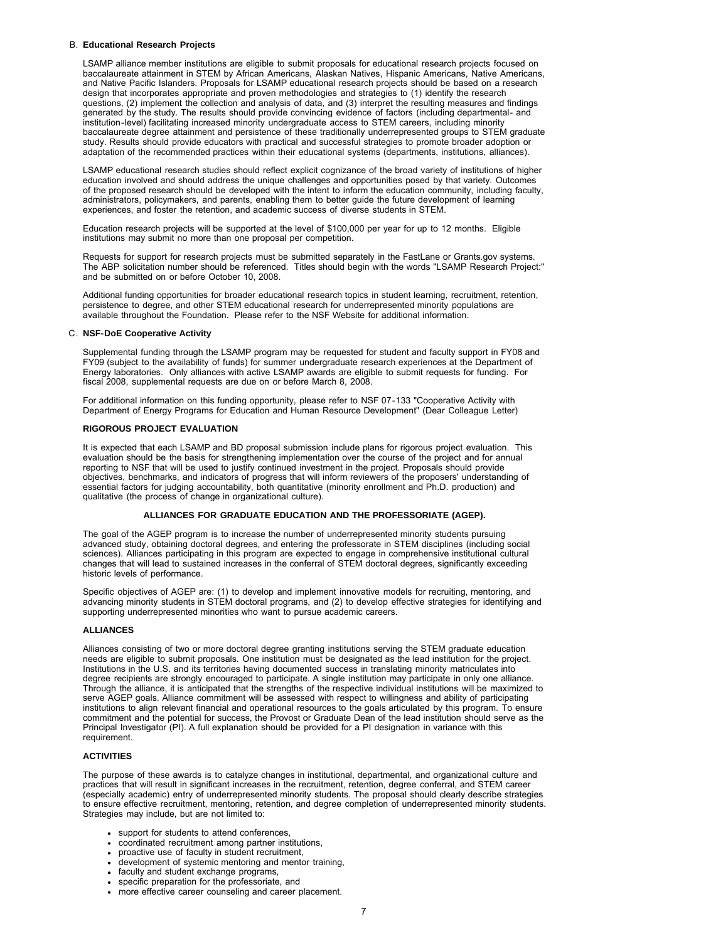#### B. **Educational Research Projects**

LSAMP alliance member institutions are eligible to submit proposals for educational research projects focused on baccalaureate attainment in STEM by African Americans, Alaskan Natives, Hispanic Americans, Native Americans, and Native Pacific Islanders. Proposals for LSAMP educational research projects should be based on a research design that incorporates appropriate and proven methodologies and strategies to (1) identify the research questions, (2) implement the collection and analysis of data, and (3) interpret the resulting measures and findings generated by the study. The results should provide convincing evidence of factors (including departmental- and institution-level) facilitating increased minority undergraduate access to STEM careers, including minority baccalaureate degree attainment and persistence of these traditionally underrepresented groups to STEM graduate study. Results should provide educators with practical and successful strategies to promote broader adoption or adaptation of the recommended practices within their educational systems (departments, institutions, alliances).

LSAMP educational research studies should reflect explicit cognizance of the broad variety of institutions of higher education involved and should address the unique challenges and opportunities posed by that variety. Outcomes of the proposed research should be developed with the intent to inform the education community, including faculty, administrators, policymakers, and parents, enabling them to better guide the future development of learning experiences, and foster the retention, and academic success of diverse students in STEM.

Education research projects will be supported at the level of \$100,000 per year for up to 12 months. Eligible institutions may submit no more than one proposal per competition.

Requests for support for research projects must be submitted separately in the FastLane or Grants.gov systems. The ABP solicitation number should be referenced. Titles should begin with the words "LSAMP Research Project:" and be submitted on or before October 10, 2008.

Additional funding opportunities for broader educational research topics in student learning, recruitment, retention, persistence to degree, and other STEM educational research for underrepresented minority populations are available throughout the Foundation. Please refer to the NSF Website for additional information.

#### C. **NSF-DoE Cooperative Activity**

Supplemental funding through the LSAMP program may be requested for student and faculty support in FY08 and FY09 (subject to the availability of funds) for summer undergraduate research experiences at the Department of Energy laboratories. Only alliances with active LSAMP awards are eligible to submit requests for funding. For fiscal 2008, supplemental requests are due on or before March 8, 2008.

For additional information on this funding opportunity, please refer to NSF 07-133 "Cooperative Activity with Department of Energy Programs for Education and Human Resource Development" (Dear Colleague Letter)

#### **RIGOROUS PROJECT EVALUATION**

It is expected that each LSAMP and BD proposal submission include plans for rigorous project evaluation. This evaluation should be the basis for strengthening implementation over the course of the project and for annual reporting to NSF that will be used to justify continued investment in the project. Proposals should provide objectives, benchmarks, and indicators of progress that will inform reviewers of the proposers' understanding of essential factors for judging accountability, both quantitative (minority enrollment and Ph.D. production) and qualitative (the process of change in organizational culture).

### **ALLIANCES FOR GRADUATE EDUCATION AND THE PROFESSORIATE (AGEP).**

The goal of the AGEP program is to increase the number of underrepresented minority students pursuing advanced study, obtaining doctoral degrees, and entering the professorate in STEM disciplines (including social sciences). Alliances participating in this program are expected to engage in comprehensive institutional cultural changes that will lead to sustained increases in the conferral of STEM doctoral degrees, significantly exceeding historic levels of performance.

Specific objectives of AGEP are: (1) to develop and implement innovative models for recruiting, mentoring, and advancing minority students in STEM doctoral programs, and (2) to develop effective strategies for identifying and supporting underrepresented minorities who want to pursue academic careers.

#### **ALLIANCES**

Alliances consisting of two or more doctoral degree granting institutions serving the STEM graduate education needs are eligible to submit proposals. One institution must be designated as the lead institution for the project. Institutions in the U.S. and its territories having documented success in translating minority matriculates into degree recipients are strongly encouraged to participate. A single institution may participate in only one alliance. Through the alliance, it is anticipated that the strengths of the respective individual institutions will be maximized to serve AGEP goals. Alliance commitment will be assessed with respect to willingness and ability of participating institutions to align relevant financial and operational resources to the goals articulated by this program. To ensure commitment and the potential for success, the Provost or Graduate Dean of the lead institution should serve as the Principal Investigator (PI). A full explanation should be provided for a PI designation in variance with this requirement.

#### **ACTIVITIES**

The purpose of these awards is to catalyze changes in institutional, departmental, and organizational culture and practices that will result in significant increases in the recruitment, retention, degree conferral, and STEM career (especially academic) entry of underrepresented minority students. The proposal should clearly describe strategies to ensure effective recruitment, mentoring, retention, and degree completion of underrepresented minority students. Strategies may include, but are not limited to:

- support for students to attend conferences,
- coordinated recruitment among partner institutions,
- proactive use of faculty in student recruitment,
- development of systemic mentoring and mentor training,
- faculty and student exchange programs,
- specific preparation for the professoriate, and
- more effective career counseling and career placement.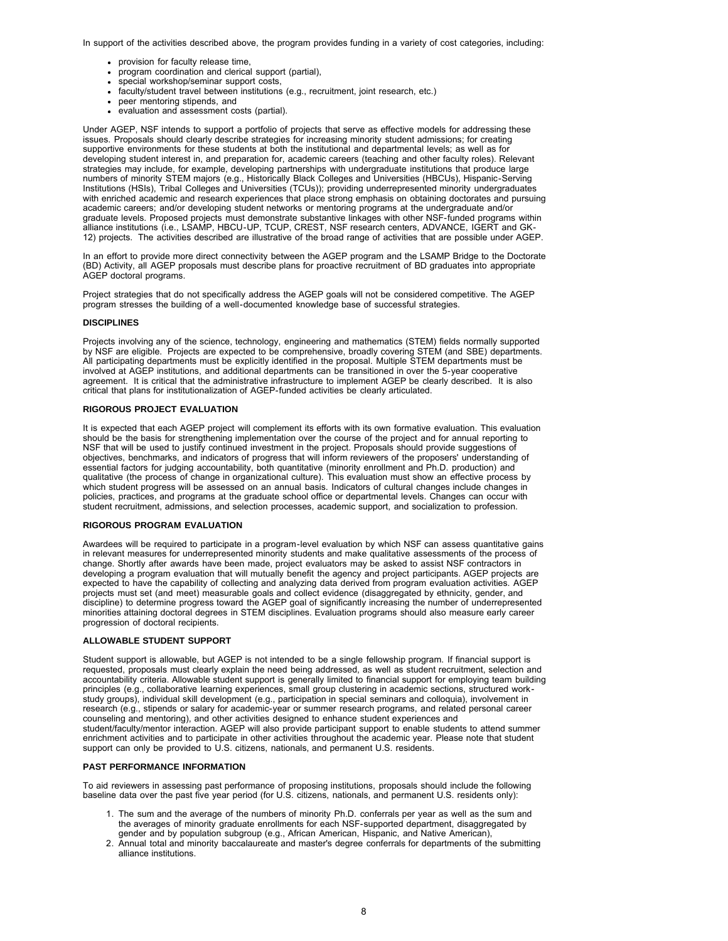In support of the activities described above, the program provides funding in a variety of cost categories, including:

- provision for faculty release time,
- program coordination and clerical support (partial),
- special workshop/seminar support costs,
- faculty/student travel between institutions (e.g., recruitment, joint research, etc.)
- peer mentoring stipends, and
- evaluation and assessment costs (partial).

Under AGEP, NSF intends to support a portfolio of projects that serve as effective models for addressing these issues. Proposals should clearly describe strategies for increasing minority student admissions; for creating supportive environments for these students at both the institutional and departmental levels; as well as for developing student interest in, and preparation for, academic careers (teaching and other faculty roles). Relevant strategies may include, for example, developing partnerships with undergraduate institutions that produce large numbers of minority STEM majors (e.g., Historically Black Colleges and Universities (HBCUs), Hispanic-Serving Institutions (HSIs), Tribal Colleges and Universities (TCUs)); providing underrepresented minority undergraduates with enriched academic and research experiences that place strong emphasis on obtaining doctorates and pursuing academic careers; and/or developing student networks or mentoring programs at the undergraduate and/or graduate levels. Proposed projects must demonstrate substantive linkages with other NSF-funded programs within alliance institutions (i.e., LSAMP, HBCU-UP, TCUP, CREST, NSF research centers, ADVANCE, IGERT and GK-12) projects. The activities described are illustrative of the broad range of activities that are possible under AGEP.

In an effort to provide more direct connectivity between the AGEP program and the LSAMP Bridge to the Doctorate (BD) Activity, all AGEP proposals must describe plans for proactive recruitment of BD graduates into appropriate AGEP doctoral programs.

Project strategies that do not specifically address the AGEP goals will not be considered competitive. The AGEP program stresses the building of a well-documented knowledge base of successful strategies.

#### **DISCIPLINES**

Projects involving any of the science, technology, engineering and mathematics (STEM) fields normally supported by NSF are eligible. Projects are expected to be comprehensive, broadly covering STEM (and SBE) departments. All participating departments must be explicitly identified in the proposal. Multiple STEM departments must be involved at AGEP institutions, and additional departments can be transitioned in over the 5-year cooperative agreement. It is critical that the administrative infrastructure to implement AGEP be clearly described. It is also critical that plans for institutionalization of AGEP-funded activities be clearly articulated.

#### **RIGOROUS PROJECT EVALUATION**

It is expected that each AGEP project will complement its efforts with its own formative evaluation. This evaluation should be the basis for strengthening implementation over the course of the project and for annual reporting to NSF that will be used to justify continued investment in the project. Proposals should provide suggestions of objectives, benchmarks, and indicators of progress that will inform reviewers of the proposers' understanding of essential factors for judging accountability, both quantitative (minority enrollment and Ph.D. production) and qualitative (the process of change in organizational culture). This evaluation must show an effective process by which student progress will be assessed on an annual basis. Indicators of cultural changes include changes in policies, practices, and programs at the graduate school office or departmental levels. Changes can occur with student recruitment, admissions, and selection processes, academic support, and socialization to profession.

#### **RIGOROUS PROGRAM EVALUATION**

Awardees will be required to participate in a program-level evaluation by which NSF can assess quantitative gains in relevant measures for underrepresented minority students and make qualitative assessments of the process of change. Shortly after awards have been made, project evaluators may be asked to assist NSF contractors in developing a program evaluation that will mutually benefit the agency and project participants. AGEP projects are expected to have the capability of collecting and analyzing data derived from program evaluation activities. AGEP projects must set (and meet) measurable goals and collect evidence (disaggregated by ethnicity, gender, and discipline) to determine progress toward the AGEP goal of significantly increasing the number of underrepresented minorities attaining doctoral degrees in STEM disciplines. Evaluation programs should also measure early career progression of doctoral recipients.

### **ALLOWABLE STUDENT SUPPORT**

Student support is allowable, but AGEP is not intended to be a single fellowship program. If financial support is requested, proposals must clearly explain the need being addressed, as well as student recruitment, selection and accountability criteria. Allowable student support is generally limited to financial support for employing team building principles (e.g., collaborative learning experiences, small group clustering in academic sections, structured workstudy groups), individual skill development (e.g., participation in special seminars and colloquia), involvement in research (e.g., stipends or salary for academic-year or summer research programs, and related personal career counseling and mentoring), and other activities designed to enhance student experiences and student/faculty/mentor interaction. AGEP will also provide participant support to enable students to attend summer enrichment activities and to participate in other activities throughout the academic year. Please note that student support can only be provided to U.S. citizens, nationals, and permanent U.S. residents.

#### **PAST PERFORMANCE INFORMATION**

To aid reviewers in assessing past performance of proposing institutions, proposals should include the following baseline data over the past five year period (for U.S. citizens, nationals, and permanent U.S. residents only):

- 1. The sum and the average of the numbers of minority Ph.D. conferrals per year as well as the sum and the averages of minority graduate enrollments for each NSF-supported department, disaggregated by gender and by population subgroup (e.g., African American, Hispanic, and Native American),
- <span id="page-7-0"></span>2. Annual total and minority baccalaureate and master's degree conferrals for departments of the submitting alliance institutions.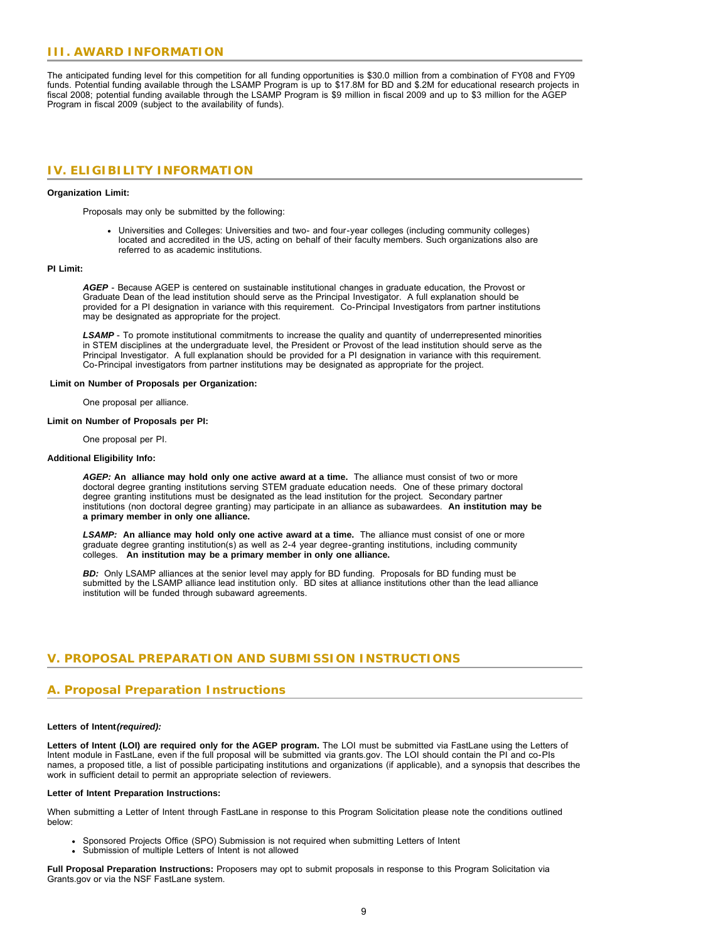### **III. AWARD INFORMATION**

The anticipated funding level for this competition for all funding opportunities is \$30.0 million from a combination of FY08 and FY09 funds. Potential funding available through the LSAMP Program is up to \$17.8M for BD and \$.2M for educational research projects in fiscal 2008; potential funding available through the LSAMP Program is \$9 million in fiscal 2009 and up to \$3 million for the AGEP Program in fiscal 2009 (subject to the availability of funds).

### <span id="page-8-0"></span>**IV. ELIGIBILITY INFORMATION**

#### **Organization Limit:**

Proposals may only be submitted by the following:

Universities and Colleges: Universities and two- and four-year colleges (including community colleges) located and accredited in the US, acting on behalf of their faculty members. Such organizations also are referred to as academic institutions.

#### **PI Limit:**

*AGEP* - Because AGEP is centered on sustainable institutional changes in graduate education, the Provost or Graduate Dean of the lead institution should serve as the Principal Investigator. A full explanation should be provided for a PI designation in variance with this requirement. Co-Principal Investigators from partner institutions may be designated as appropriate for the project.

*LSAMP* - To promote institutional commitments to increase the quality and quantity of underrepresented minorities in STEM disciplines at the undergraduate level, the President or Provost of the lead institution should serve as the Principal Investigator. A full explanation should be provided for a PI designation in variance with this requirement. Co-Principal investigators from partner institutions may be designated as appropriate for the project.

#### **Limit on Number of Proposals per Organization:**

One proposal per alliance.

#### **Limit on Number of Proposals per PI:**

One proposal per PI.

#### **Additional Eligibility Info:**

*AGEP:* **An alliance may hold only one active award at a time.** The alliance must consist of two or more doctoral degree granting institutions serving STEM graduate education needs. One of these primary doctoral degree granting institutions must be designated as the lead institution for the project. Secondary partner institutions (non doctoral degree granting) may participate in an alliance as subawardees. **An institution may be a primary member in only one alliance.**

*LSAMP:* **An alliance may hold only one active award at a time.** The alliance must consist of one or more graduate degree granting institution(s) as well as 2-4 year degree-granting institutions, including community colleges. **An institution may be a primary member in only one alliance.**

**BD:** Only LSAMP alliances at the senior level may apply for BD funding. Proposals for BD funding must be submitted by the LSAMP alliance lead institution only. BD sites at alliance institutions other than the lead alliance institution will be funded through subaward agreements.

### <span id="page-8-1"></span>**V. PROPOSAL PREPARATION AND SUBMISSION INSTRUCTIONS**

### **A. Proposal Preparation Instructions**

#### **Letters of Intent***(required):*

**Letters of Intent (LOI) are required only for the AGEP program.** The LOI must be submitted via FastLane using the Letters of Intent module in FastLane, even if the full proposal will be submitted via grants.gov. The LOI should contain the PI and co-PIs names, a proposed title, a list of possible participating institutions and organizations (if applicable), and a synopsis that describes the work in sufficient detail to permit an appropriate selection of reviewers.

#### **Letter of Intent Preparation Instructions:**

When submitting a Letter of Intent through FastLane in response to this Program Solicitation please note the conditions outlined below:

- Sponsored Projects Office (SPO) Submission is not required when submitting Letters of Intent
- Submission of multiple Letters of Intent is not allowed

**Full Proposal Preparation Instructions:** Proposers may opt to submit proposals in response to this Program Solicitation via Grants.gov or via the NSF FastLane system.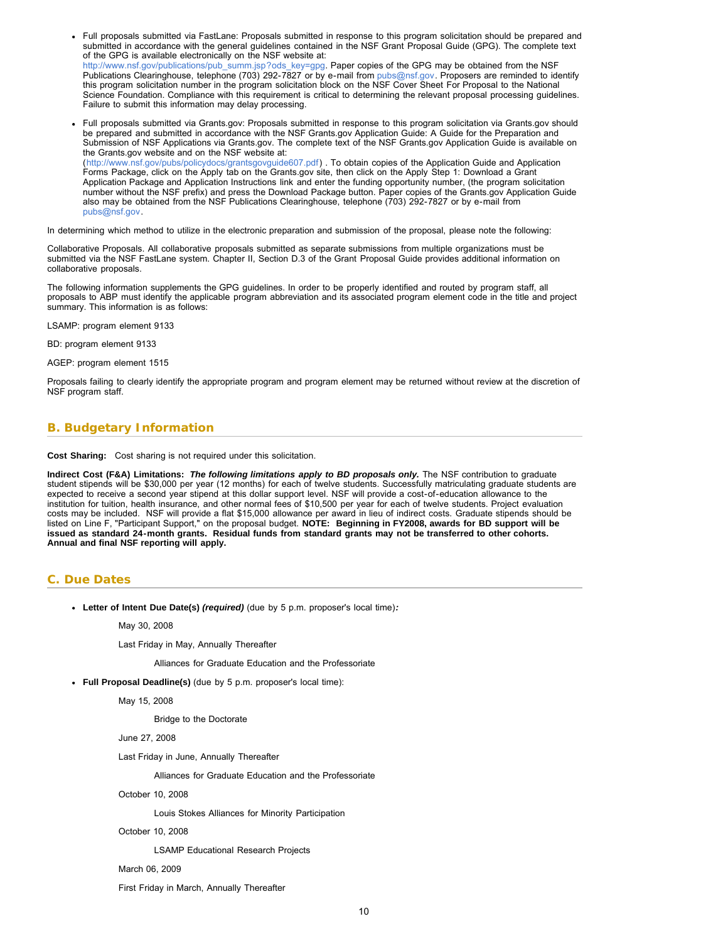- Full proposals submitted via FastLane: Proposals submitted in response to this program solicitation should be prepared and submitted in accordance with the general guidelines contained in the NSF Grant Proposal Guide (GPG). The complete text of the GPG is available electronically on the NSF website at: [http://www.nsf.gov/publications/pub\\_summ.jsp?ods\\_key=gpg.](http://www.nsf.gov/publications/pub_summ.jsp?ods_key=gpg) Paper copies of the GPG may be obtained from the NSF Publications Clearinghouse, telephone (703) 292-7827 or by e-mail from [pubs@nsf.gov](mailto:pubs@nsf.gov). Proposers are reminded to identify this program solicitation number in the program solicitation block on the NSF Cover Sheet For Proposal to the National Science Foundation. Compliance with this requirement is critical to determining the relevant proposal processing guidelines. Failure to submit this information may delay processing.
- Full proposals submitted via Grants.gov: Proposals submitted in response to this program solicitation via Grants.gov should be prepared and submitted in accordance with the NSF Grants.gov Application Guide: A Guide for the Preparation and Submission of NSF Applications via Grants.gov. The complete text of the NSF Grants.gov Application Guide is available on the Grants.gov website and on the NSF website at: ([http://www.nsf.gov/pubs/policydocs/grantsgovguide607.pdf\)](http://www.nsf.gov/pubs/policydocs/grantsgovguide607.pdf) . To obtain copies of the Application Guide and Application Forms Package, click on the Apply tab on the Grants.gov site, then click on the Apply Step 1: Download a Grant Application Package and Application Instructions link and enter the funding opportunity number, (the program solicitation number without the NSF prefix) and press the Download Package button. Paper copies of the Grants.gov Application Guide also may be obtained from the NSF Publications Clearinghouse, telephone (703) 292-7827 or by e-mail from

[pubs@nsf.gov.](mailto:pubs@nsf.gov)

In determining which method to utilize in the electronic preparation and submission of the proposal, please note the following:

Collaborative Proposals. All collaborative proposals submitted as separate submissions from multiple organizations must be submitted via the NSF FastLane system. Chapter II, Section D.3 of the Grant Proposal Guide provides additional information on collaborative proposals.

The following information supplements the GPG guidelines. In order to be properly identified and routed by program staff, all proposals to ABP must identify the applicable program abbreviation and its associated program element code in the title and project summary. This information is as follows:

LSAMP: program element 9133

BD: program element 9133

AGEP: program element 1515

Proposals failing to clearly identify the appropriate program and program element may be returned without review at the discretion of NSF program staff.

### <span id="page-9-0"></span>**B. Budgetary Information**

**Cost Sharing:** Cost sharing is not required under this solicitation.

**Indirect Cost (F&A) Limitations:** *The following limitations apply to BD proposals only.* The NSF contribution to graduate student stipends will be \$30,000 per year (12 months) for each of twelve students. Successfully matriculating graduate students are expected to receive a second year stipend at this dollar support level. NSF will provide a cost-of-education allowance to the institution for tuition, health insurance, and other normal fees of \$10,500 per year for each of twelve students. Project evaluation costs may be included. NSF will provide a flat \$15,000 allowance per award in lieu of indirect costs. Graduate stipends should be listed on Line F, "Participant Support," on the proposal budget. **NOTE: Beginning in FY2008, awards for BD support will be issued as standard 24-month grants. Residual funds from standard grants may not be transferred to other cohorts. Annual and final NSF reporting will apply.**

### <span id="page-9-1"></span>**C. Due Dates**

**Letter of Intent Due Date(s)** *(required)* (due by 5 p.m. proposer's local time)*:*

May 30, 2008

Last Friday in May, Annually Thereafter

Alliances for Graduate Education and the Professoriate

**Full Proposal Deadline(s)** (due by 5 p.m. proposer's local time):

May 15, 2008

Bridge to the Doctorate

June 27, 2008

Last Friday in June, Annually Thereafter

Alliances for Graduate Education and the Professoriate

October 10, 2008

Louis Stokes Alliances for Minority Participation

October 10, 2008

LSAMP Educational Research Projects

March 06, 2009

First Friday in March, Annually Thereafter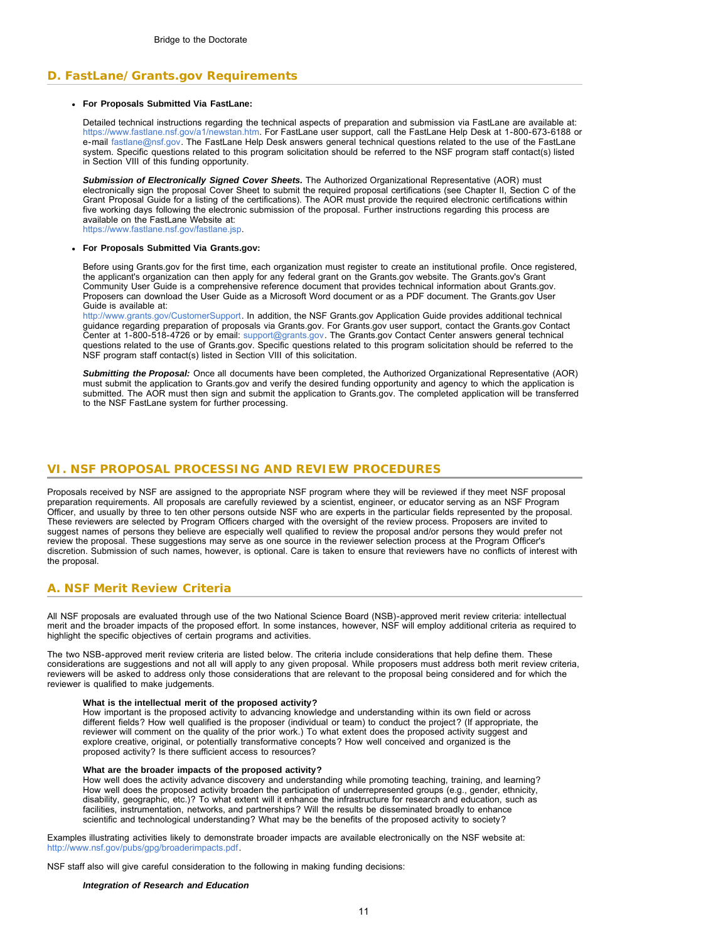### <span id="page-10-0"></span>**D. FastLane/Grants.gov Requirements**

### **For Proposals Submitted Via FastLane:**

Detailed technical instructions regarding the technical aspects of preparation and submission via FastLane are available at: [https://www.fastlane.nsf.gov/a1/newstan.htm.](https://www.fastlane.nsf.gov/a1/newstan.htm) For FastLane user support, call the FastLane Help Desk at 1-800-673-6188 or e-mail [fastlane@nsf.gov.](mailto:fastlane@nsf.gov) The FastLane Help Desk answers general technical questions related to the use of the FastLane system. Specific questions related to this program solicitation should be referred to the NSF program staff contact(s) listed in Section VIII of this funding opportunity.

*Submission of Electronically Signed Cover Sheets.* The Authorized Organizational Representative (AOR) must electronically sign the proposal Cover Sheet to submit the required proposal certifications (see Chapter II, Section C of the Grant Proposal Guide for a listing of the certifications). The AOR must provide the required electronic certifications within five working days following the electronic submission of the proposal. Further instructions regarding this process are available on the FastLane Website at:

[https://www.fastlane.nsf.gov/fastlane.jsp.](https://www.fastlane.nsf.gov/fastlane.jsp)

#### **For Proposals Submitted Via Grants.gov:**

Before using Grants.gov for the first time, each organization must register to create an institutional profile. Once registered, the applicant's organization can then apply for any federal grant on the Grants.gov website. The Grants.gov's Grant Community User Guide is a comprehensive reference document that provides technical information about Grants.gov. Proposers can download the User Guide as a Microsoft Word document or as a PDF document. The Grants.gov User Guide is available at:

[http://www.grants.gov/CustomerSupport.](http://www.grants.gov/CustomerSupport) In addition, the NSF Grants.gov Application Guide provides additional technical guidance regarding preparation of proposals via Grants.gov. For Grants.gov user support, contact the Grants.gov Contact Center at 1-800-518-4726 or by email: [support@grants.gov](mailto:support@grants.gov). The Grants.gov Contact Center answers general technical questions related to the use of Grants.gov. Specific questions related to this program solicitation should be referred to the NSF program staff contact(s) listed in Section VIII of this solicitation.

*Submitting the Proposal:* Once all documents have been completed, the Authorized Organizational Representative (AOR) must submit the application to Grants.gov and verify the desired funding opportunity and agency to which the application is submitted. The AOR must then sign and submit the application to Grants.gov. The completed application will be transferred to the NSF FastLane system for further processing.

### <span id="page-10-1"></span>**VI. NSF PROPOSAL PROCESSING AND REVIEW PROCEDURES**

<span id="page-10-2"></span>Proposals received by NSF are assigned to the appropriate NSF program where they will be reviewed if they meet NSF proposal preparation requirements. All proposals are carefully reviewed by a scientist, engineer, or educator serving as an NSF Program Officer, and usually by three to ten other persons outside NSF who are experts in the particular fields represented by the proposal. These reviewers are selected by Program Officers charged with the oversight of the review process. Proposers are invited to suggest names of persons they believe are especially well qualified to review the proposal and/or persons they would prefer not review the proposal. These suggestions may serve as one source in the reviewer selection process at the Program Officer's discretion. Submission of such names, however, is optional. Care is taken to ensure that reviewers have no conflicts of interest with the proposal.

### **A. NSF Merit Review Criteria**

All NSF proposals are evaluated through use of the two National Science Board (NSB)-approved merit review criteria: intellectual merit and the broader impacts of the proposed effort. In some instances, however, NSF will employ additional criteria as required to highlight the specific objectives of certain programs and activities.

The two NSB-approved merit review criteria are listed below. The criteria include considerations that help define them. These considerations are suggestions and not all will apply to any given proposal. While proposers must address both merit review criteria, reviewers will be asked to address only those considerations that are relevant to the proposal being considered and for which the reviewer is qualified to make judgements.

#### **What is the intellectual merit of the proposed activity?**

How important is the proposed activity to advancing knowledge and understanding within its own field or across different fields? How well qualified is the proposer (individual or team) to conduct the project? (If appropriate, the reviewer will comment on the quality of the prior work.) To what extent does the proposed activity suggest and explore creative, original, or potentially transformative concepts? How well conceived and organized is the proposed activity? Is there sufficient access to resources?

#### **What are the broader impacts of the proposed activity?**

How well does the activity advance discovery and understanding while promoting teaching, training, and learning? How well does the proposed activity broaden the participation of underrepresented groups (e.g., gender, ethnicity, disability, geographic, etc.)? To what extent will it enhance the infrastructure for research and education, such as facilities, instrumentation, networks, and partnerships? Will the results be disseminated broadly to enhance scientific and technological understanding? What may be the benefits of the proposed activity to society?

Examples illustrating activities likely to demonstrate broader impacts are available electronically on the NSF website at: <http://www.nsf.gov/pubs/gpg/broaderimpacts.pdf>.

NSF staff also will give careful consideration to the following in making funding decisions:

#### *Integration of Research and Education*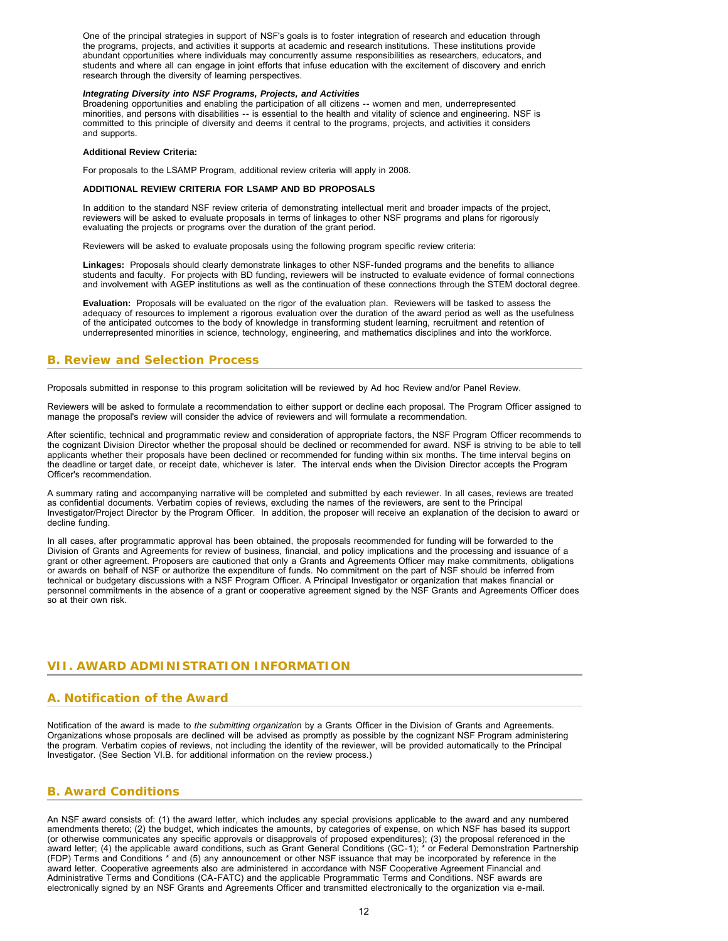One of the principal strategies in support of NSF's goals is to foster integration of research and education through the programs, projects, and activities it supports at academic and research institutions. These institutions provide abundant opportunities where individuals may concurrently assume responsibilities as researchers, educators, and students and where all can engage in joint efforts that infuse education with the excitement of discovery and enrich research through the diversity of learning perspectives.

#### *Integrating Diversity into NSF Programs, Projects, and Activities*

Broadening opportunities and enabling the participation of all citizens -- women and men, underrepresented minorities, and persons with disabilities -- is essential to the health and vitality of science and engineering. NSF is committed to this principle of diversity and deems it central to the programs, projects, and activities it considers and supports.

#### **Additional Review Criteria:**

For proposals to the LSAMP Program, additional review criteria will apply in 2008.

#### **ADDITIONAL REVIEW CRITERIA FOR LSAMP AND BD PROPOSALS**

In addition to the standard NSF review criteria of demonstrating intellectual merit and broader impacts of the project, reviewers will be asked to evaluate proposals in terms of linkages to other NSF programs and plans for rigorously evaluating the projects or programs over the duration of the grant period.

Reviewers will be asked to evaluate proposals using the following program specific review criteria:

**Linkages:** Proposals should clearly demonstrate linkages to other NSF-funded programs and the benefits to alliance students and faculty. For projects with BD funding, reviewers will be instructed to evaluate evidence of formal connections and involvement with AGEP institutions as well as the continuation of these connections through the STEM doctoral degree.

**Evaluation:** Proposals will be evaluated on the rigor of the evaluation plan. Reviewers will be tasked to assess the adequacy of resources to implement a rigorous evaluation over the duration of the award period as well as the usefulness of the anticipated outcomes to the body of knowledge in transforming student learning, recruitment and retention of underrepresented minorities in science, technology, engineering, and mathematics disciplines and into the workforce.

### <span id="page-11-0"></span>**B. Review and Selection Process**

Proposals submitted in response to this program solicitation will be reviewed by Ad hoc Review and/or Panel Review.

Reviewers will be asked to formulate a recommendation to either support or decline each proposal. The Program Officer assigned to manage the proposal's review will consider the advice of reviewers and will formulate a recommendation.

After scientific, technical and programmatic review and consideration of appropriate factors, the NSF Program Officer recommends to the cognizant Division Director whether the proposal should be declined or recommended for award. NSF is striving to be able to tell applicants whether their proposals have been declined or recommended for funding within six months. The time interval begins on the deadline or target date, or receipt date, whichever is later. The interval ends when the Division Director accepts the Program Officer's recommendation.

A summary rating and accompanying narrative will be completed and submitted by each reviewer. In all cases, reviews are treated as confidential documents. Verbatim copies of reviews, excluding the names of the reviewers, are sent to the Principal Investigator/Project Director by the Program Officer. In addition, the proposer will receive an explanation of the decision to award or decline funding.

In all cases, after programmatic approval has been obtained, the proposals recommended for funding will be forwarded to the Division of Grants and Agreements for review of business, financial, and policy implications and the processing and issuance of a grant or other agreement. Proposers are cautioned that only a Grants and Agreements Officer may make commitments, obligations or awards on behalf of NSF or authorize the expenditure of funds. No commitment on the part of NSF should be inferred from technical or budgetary discussions with a NSF Program Officer. A Principal Investigator or organization that makes financial or personnel commitments in the absence of a grant or cooperative agreement signed by the NSF Grants and Agreements Officer does so at their own risk.

### <span id="page-11-2"></span><span id="page-11-1"></span>**VII. AWARD ADMINISTRATION INFORMATION**

### **A. Notification of the Award**

Notification of the award is made to *the submitting organization* by a Grants Officer in the Division of Grants and Agreements. Organizations whose proposals are declined will be advised as promptly as possible by the cognizant NSF Program administering the program. Verbatim copies of reviews, not including the identity of the reviewer, will be provided automatically to the Principal Investigator. (See Section VI.B. for additional information on the review process.)

### <span id="page-11-3"></span>**B. Award Conditions**

An NSF award consists of: (1) the award letter, which includes any special provisions applicable to the award and any numbered amendments thereto; (2) the budget, which indicates the amounts, by categories of expense, on which NSF has based its support (or otherwise communicates any specific approvals or disapprovals of proposed expenditures); (3) the proposal referenced in the award letter; (4) the applicable award conditions, such as Grant General Conditions (GC-1); \* or Federal Demonstration Partnership (FDP) Terms and Conditions \* and (5) any announcement or other NSF issuance that may be incorporated by reference in the award letter. Cooperative agreements also are administered in accordance with NSF Cooperative Agreement Financial and Administrative Terms and Conditions (CA-FATC) and the applicable Programmatic Terms and Conditions. NSF awards are electronically signed by an NSF Grants and Agreements Officer and transmitted electronically to the organization via e-mail.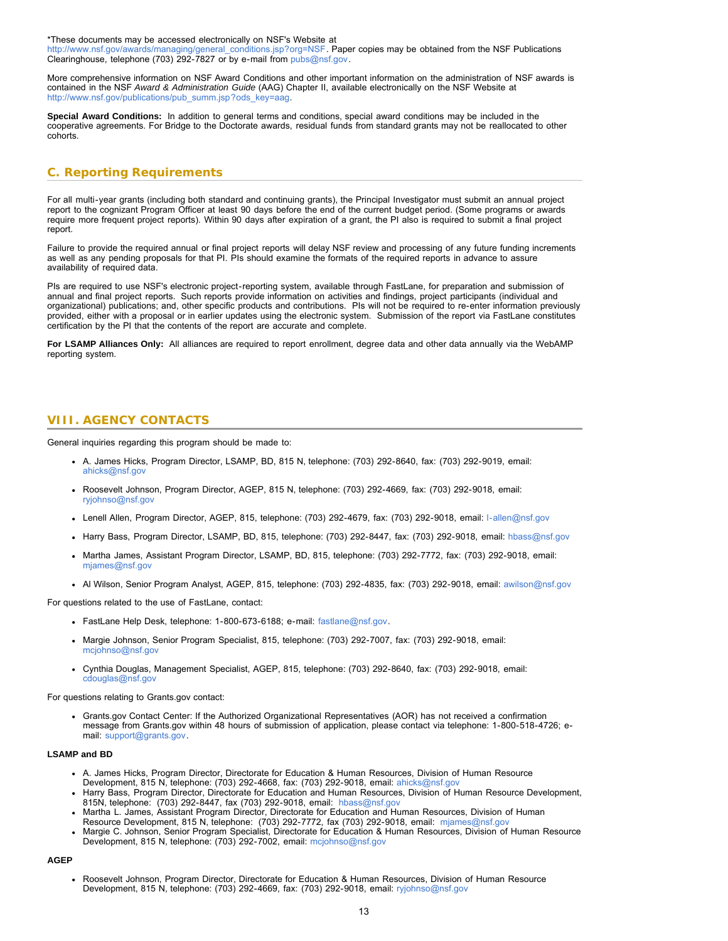[\\*These documents may be accessed electronically on NSF's Website at](athttp://www.nsf.gov/awards/managing/general_conditions.jsp?org=NSF)

[http://w](http://www.nsf.gov/awards/managing/general_conditions.jsp?org=NSF)[ww.nsf.gov/awards/managing/general\\_conditions.jsp?org=NSF.](athttp://www.nsf.gov/awards/managing/general_conditions.jsp?org=NSF) Paper copies may be obtained from the NSF Publications Clearinghouse, telephone (703) 292-7827 or by e-mail from [pubs@nsf.gov.](mailto:pubs@nsf.gov)

More comprehensive information on NSF Award Conditions and other important information on the administration of NSF awards is contained in the NSF *Award & Administration Guide* [\(AAG\) Chapter II, available electronically on the NSF Website at](athttp://www.nsf.gov/publications/pub_summ.jsp?ods_key=aag) [http://www.nsf.gov/publications/pub\\_summ.jsp?ods\\_key=aag](http://www.nsf.gov/publications/pub_summ.jsp?ods_key=aag)[.](athttp://www.nsf.gov/publications/pub_summ.jsp?ods_key=aag)

**Special Award Conditions:** In addition to general terms and conditions, special award conditions may be included in the cooperative agreements. For Bridge to the Doctorate awards, residual funds from standard grants may not be reallocated to other cohorts.

### <span id="page-12-0"></span>**C. Reporting Requirements**

For all multi-year grants (including both standard and continuing grants), the Principal Investigator must submit an annual project report to the cognizant Program Officer at least 90 days before the end of the current budget period. (Some programs or awards require more frequent project reports). Within 90 days after expiration of a grant, the PI also is required to submit a final project report.

Failure to provide the required annual or final project reports will delay NSF review and processing of any future funding increments as well as any pending proposals for that PI. PIs should examine the formats of the required reports in advance to assure availability of required data.

PIs are required to use NSF's electronic project-reporting system, available through FastLane, for preparation and submission of annual and final project reports. Such reports provide information on activities and findings, project participants (individual and organizational) publications; and, other specific products and contributions. PIs will not be required to re-enter information previously provided, either with a proposal or in earlier updates using the electronic system. Submission of the report via FastLane constitutes certification by the PI that the contents of the report are accurate and complete.

<span id="page-12-1"></span>**For LSAMP Alliances Only:** All alliances are required to report enrollment, degree data and other data annually via the WebAMP reporting system.

### **VIII. AGENCY CONTACTS**

General inquiries regarding this program should be made to:

- A. James Hicks, Program Director, LSAMP, BD, 815 N, telephone: (703) 292-8640, fax: (703) 292-9019, email: [ahicks@nsf.gov](mailto:ahicks@nsf.gov)
- Roosevelt Johnson, Program Director, AGEP, 815 N, telephone: (703) 292-4669, fax: (703) 292-9018, email: [ryjohnso@nsf.gov](mailto:ryjohnso@nsf.gov)
- Lenell Allen, Program Director, AGEP, 815, telephone: (703) 292-4679, fax: (703) 292-9018, email: [l-allen@nsf.gov](mailto:l-allen@nsf.gov)
- Harry Bass, Program Director, LSAMP, BD, 815, telephone: (703) 292-8447, fax: (703) 292-9018, email: [hbass@nsf.gov](mailto:hbass@nsf.gov)
- Martha James, Assistant Program Director, LSAMP, BD, 815, telephone: (703) 292-7772, fax: (703) 292-9018, email: [mjames@nsf.gov](mailto:mjames@nsf.gov)
- Al Wilson, Senior Program Analyst, AGEP, 815, telephone: (703) 292-4835, fax: (703) 292-9018, email: [awilson@nsf.gov](mailto:awilson@nsf.gov)

For questions related to the use of FastLane, contact:

- FastLane Help Desk, telephone: 1-800-673-6188; e-mail: [fastlane@nsf.gov.](mailto:fastlane@nsf.gov)
- Margie Johnson, Senior Program Specialist, 815, telephone: (703) 292-7007, fax: (703) 292-9018, email: [mcjohnso@nsf.gov](mailto:mcjohnso@nsf.gov)
- Cynthia Douglas, Management Specialist, AGEP, 815, telephone: (703) 292-8640, fax: (703) 292-9018, email: [cdouglas@nsf.gov](mailto:cdouglas@nsf.gov)

For questions relating to Grants.gov contact:

Grants.gov Contact Center: If the Authorized Organizational Representatives (AOR) has not received a confirmation message from Grants.gov within 48 hours of submission of application, please contact via telephone: 1-800-518-4726; email: [support@grants.gov.](mailto:support@grants.gov)

#### **LSAMP and BD**

- A. James Hicks, Program Director, Directorate for Education & Human Resources, Division of Human Resource Development, 815 N, telephone: (703) 292-4668, fax: (703) 292-9018, email: [ahicks@nsf.gov](mailto:ahicks@nsf.gov)
- Harry Bass, Program Director, Directorate for Education and Human Resources, Division of Human Resource Development, 815N, telephone: (703) 292-8447, fax (703) 292-9018, email: [hbass@nsf.gov](mailto:hbass@nsf.gov)
- Martha L. James, Assistant Program Director, Directorate for Education and Human Resources, Division of Human Resource Development, 815 N, telephone: (703) 292-7772, fax (703) 292-9018, email: [mjames@nsf.gov](mailto:mjames@nsf.gov)
- Margie C. Johnson, Senior Program Specialist, Directorate for Education & Human Resources, Division of Human Resource Development, 815 N, telephone: (703) 292-7002, email: [mcjohnso@nsf.gov](mailto:mcjohnso@nsf.gov)

#### **AGEP**

Roosevelt Johnson, Program Director, Directorate for Education & Human Resources, Division of Human Resource Development, 815 N, telephone: (703) 292-4669, fax: (703) 292-9018, email: [ryjohnso@nsf.gov](mailto:ryjohnso@nsf.gov)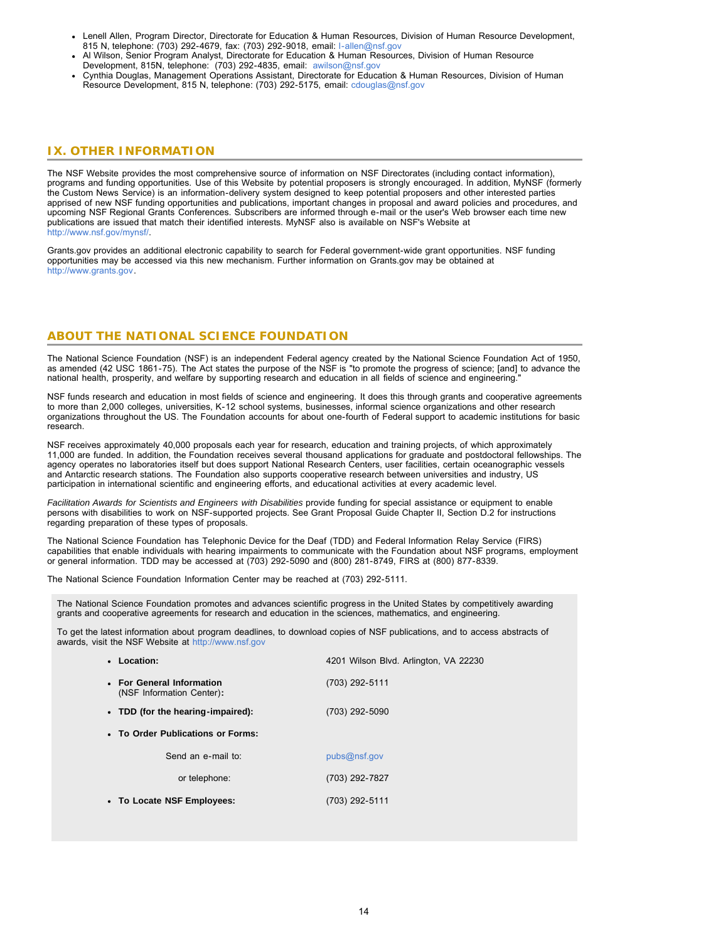- Lenell Allen, Program Director, Directorate for Education & Human Resources, Division of Human Resource Development, 815 N, telephone: (703) 292-4679, fax: (703) 292-9018, email: [l-allen@nsf.gov](mailto:l-allen@nsf.gov)
- Al Wilson, Senior Program Analyst, Directorate for Education & Human Resources, Division of Human Resource Development, 815N, telephone: (703) 292-4835, email: [awilson@nsf.gov](mailto:awilson@nsf.gov)
- Cynthia Douglas, Management Operations Assistant, Directorate for Education & Human Resources, Division of Human Resource Development, 815 N, telephone: (703) 292-5175, email: [cdouglas@nsf.gov](mailto:cdouglas@nsf.gov)

### <span id="page-13-0"></span>**IX. OTHER INFORMATION**

The NSF Website provides the most comprehensive source of information on NSF Directorates (including contact information), programs and funding opportunities. Use of this Website by potential proposers is strongly encouraged. In addition, MyNSF (formerly the Custom News Service) is an information-delivery system designed to keep potential proposers and other interested parties apprised of new NSF funding opportunities and publications, important changes in proposal and award policies and procedures, and upcoming NSF Regional Grants Conferences. Subscribers are informed through e-mail or the user's Web browser each time new [publications are issued that match their identified interests. MyNSF also is available on NSF's Website at](athttp://www.nsf.gov/mynsf/) <http://www.nsf.gov/mynsf/>[.](athttp://www.nsf.gov/mynsf/)

Grants.gov provides an additional electronic capability to search for Federal government-wide grant opportunities. NSF funding [opportunities may be accessed via this new mechanism. Further information on Grants.gov may be obtained at](athttp://www.grants.gov) [http://w](http://www.grants.gov/)[ww.grants.gov.](athttp://www.grants.gov)

### **ABOUT THE NATIONAL SCIENCE FOUNDATION**

The National Science Foundation (NSF) is an independent Federal agency created by the National Science Foundation Act of 1950, as amended (42 USC 1861-75). The Act states the purpose of the NSF is "to promote the progress of science; [and] to advance the national health, prosperity, and welfare by supporting research and education in all fields of science and engineering."

NSF funds research and education in most fields of science and engineering. It does this through grants and cooperative agreements to more than 2,000 colleges, universities, K-12 school systems, businesses, informal science organizations and other research organizations throughout the US. The Foundation accounts for about one-fourth of Federal support to academic institutions for basic research.

NSF receives approximately 40,000 proposals each year for research, education and training projects, of which approximately 11,000 are funded. In addition, the Foundation receives several thousand applications for graduate and postdoctoral fellowships. The agency operates no laboratories itself but does support National Research Centers, user facilities, certain oceanographic vessels and Antarctic research stations. The Foundation also supports cooperative research between universities and industry, US participation in international scientific and engineering efforts, and educational activities at every academic level.

*Facilitation Awards for Scientists and Engineers with Disabilities* provide funding for special assistance or equipment to enable persons with disabilities to work on NSF-supported projects. See Grant Proposal Guide Chapter II, Section D.2 for instructions regarding preparation of these types of proposals.

The National Science Foundation has Telephonic Device for the Deaf (TDD) and Federal Information Relay Service (FIRS) capabilities that enable individuals with hearing impairments to communicate with the Foundation about NSF programs, employment or general information. TDD may be accessed at (703) 292-5090 and (800) 281-8749, FIRS at (800) 877-8339.

The National Science Foundation Information Center may be reached at (703) 292-5111.

The National Science Foundation promotes and advances scientific progress in the United States by competitively awarding grants and cooperative agreements for research and education in the sciences, mathematics, and engineering.

To get the latest information about program deadlines, to download copies of NSF publications, and to access abstracts of awards, visit the NSF Website at [http://www.nsf.gov](http://www.nsf.gov/)

|                                   | • Location:                                            | 4201 Wilson Blvd. Arlington, VA 22230 |  |  |  |  |
|-----------------------------------|--------------------------------------------------------|---------------------------------------|--|--|--|--|
|                                   | • For General Information<br>(NSF Information Center): | (703) 292-5111                        |  |  |  |  |
|                                   | • TDD (for the hearing-impaired):                      | (703) 292-5090                        |  |  |  |  |
| • To Order Publications or Forms: |                                                        |                                       |  |  |  |  |
|                                   | Send an e-mail to:                                     | pubs@nsf.gov                          |  |  |  |  |
|                                   | or telephone:                                          | (703) 292-7827                        |  |  |  |  |
|                                   | • To Locate NSF Employees:                             | (703) 292-5111                        |  |  |  |  |
|                                   |                                                        |                                       |  |  |  |  |